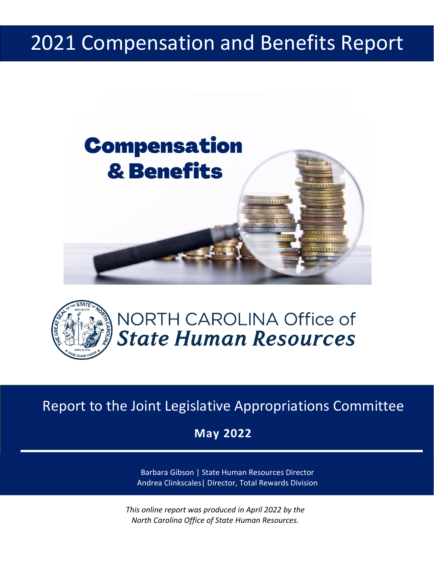## 2021 Compensation and Benefits Report





## NORTH CAROLINA Office of **State Human Resources**

Report to the Joint Legislative Appropriations Committee

Report to the Joint Legislative Appropriations Committee **May 2022**

**May 2022**

Barbara Gibson | State Human Resources Director Andrea Clinkscales| Director, Total Rewards Division

*This online report was produced in April 2022 by the North Carolina Office of State Human Resources.*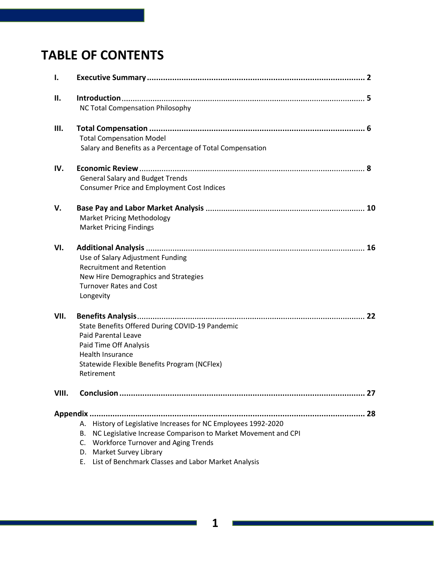## **TABLE OF CONTENTS**

| I.    |                                                                                                                                                                                                                                                                             |    |
|-------|-----------------------------------------------------------------------------------------------------------------------------------------------------------------------------------------------------------------------------------------------------------------------------|----|
| ΙΙ.   | NC Total Compensation Philosophy                                                                                                                                                                                                                                            |    |
| Ш.    | <b>Total Compensation Model</b><br>Salary and Benefits as a Percentage of Total Compensation                                                                                                                                                                                |    |
| IV.   | <b>General Salary and Budget Trends</b><br><b>Consumer Price and Employment Cost Indices</b>                                                                                                                                                                                |    |
| v.    | <b>Market Pricing Methodology</b><br><b>Market Pricing Findings</b>                                                                                                                                                                                                         |    |
| VI.   | Use of Salary Adjustment Funding<br><b>Recruitment and Retention</b><br>New Hire Demographics and Strategies<br><b>Turnover Rates and Cost</b><br>Longevity                                                                                                                 |    |
| VII.  | State Benefits Offered During COVID-19 Pandemic<br><b>Paid Parental Leave</b><br>Paid Time Off Analysis<br><b>Health Insurance</b><br>Statewide Flexible Benefits Program (NCFlex)<br>Retirement                                                                            |    |
| VIII. | Conclusion                                                                                                                                                                                                                                                                  | 27 |
|       | History of Legislative Increases for NC Employees 1992-2020<br>А.<br>NC Legislative Increase Comparison to Market Movement and CPI<br>В.<br>C. Workforce Turnover and Aging Trends<br>D. Market Survey Library<br>List of Benchmark Classes and Labor Market Analysis<br>Ε. |    |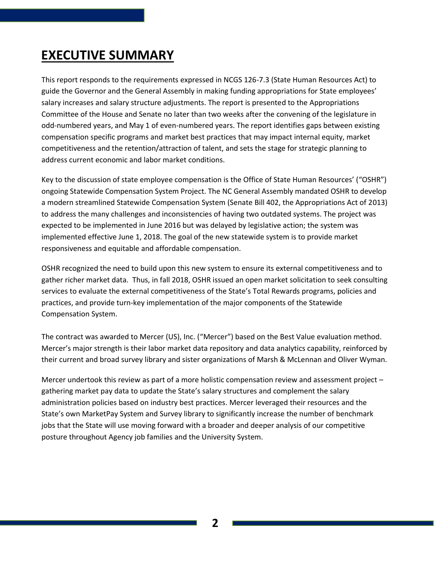## **EXECUTIVE SUMMARY**

This report responds to the requirements expressed in NCGS 126-7.3 (State Human Resources Act) to guide the Governor and the General Assembly in making funding appropriations for State employees' salary increases and salary structure adjustments. The report is presented to the Appropriations Committee of the House and Senate no later than two weeks after the convening of the legislature in odd-numbered years, and May 1 of even-numbered years. The report identifies gaps between existing compensation specific programs and market best practices that may impact internal equity, market competitiveness and the retention/attraction of talent, and sets the stage for strategic planning to address current economic and labor market conditions.

Key to the discussion of state employee compensation is the Office of State Human Resources' ("OSHR") ongoing Statewide Compensation System Project. The NC General Assembly mandated OSHR to develop a modern streamlined Statewide Compensation System (Senate Bill 402, the Appropriations Act of 2013) to address the many challenges and inconsistencies of having two outdated systems. The project was expected to be implemented in June 2016 but was delayed by legislative action; the system was implemented effective June 1, 2018. The goal of the new statewide system is to provide market responsiveness and equitable and affordable compensation.

OSHR recognized the need to build upon this new system to ensure its external competitiveness and to gather richer market data. Thus, in fall 2018, OSHR issued an open market solicitation to seek consulting services to evaluate the external competitiveness of the State's Total Rewards programs, policies and practices, and provide turn-key implementation of the major components of the Statewide Compensation System.

The contract was awarded to Mercer (US), Inc. ("Mercer") based on the Best Value evaluation method. Mercer's major strength is their labor market data repository and data analytics capability, reinforced by their current and broad survey library and sister organizations of Marsh & McLennan and Oliver Wyman.

Mercer undertook this review as part of a more holistic compensation review and assessment project – gathering market pay data to update the State's salary structures and complement the salary administration policies based on industry best practices. Mercer leveraged their resources and the State's own MarketPay System and Survey library to significantly increase the number of benchmark jobs that the State will use moving forward with a broader and deeper analysis of our competitive posture throughout Agency job families and the University System.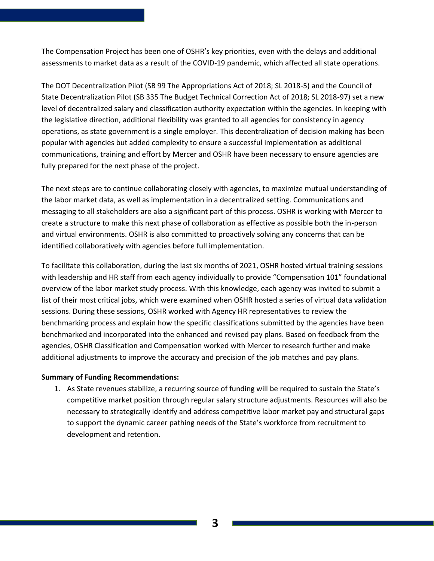The Compensation Project has been one of OSHR's key priorities, even with the delays and additional assessments to market data as a result of the COVID-19 pandemic, which affected all state operations.

The DOT Decentralization Pilot (SB 99 The Appropriations Act of 2018; SL 2018-5) and the Council of State Decentralization Pilot (SB 335 The Budget Technical Correction Act of 2018; SL 2018-97) set a new level of decentralized salary and classification authority expectation within the agencies. In keeping with the legislative direction, additional flexibility was granted to all agencies for consistency in agency operations, as state government is a single employer. This decentralization of decision making has been popular with agencies but added complexity to ensure a successful implementation as additional communications, training and effort by Mercer and OSHR have been necessary to ensure agencies are fully prepared for the next phase of the project.

The next steps are to continue collaborating closely with agencies, to maximize mutual understanding of the labor market data, as well as implementation in a decentralized setting. Communications and messaging to all stakeholders are also a significant part of this process. OSHR is working with Mercer to create a structure to make this next phase of collaboration as effective as possible both the in-person and virtual environments. OSHR is also committed to proactively solving any concerns that can be identified collaboratively with agencies before full implementation.

To facilitate this collaboration, during the last six months of 2021, OSHR hosted virtual training sessions with leadership and HR staff from each agency individually to provide "Compensation 101" foundational overview of the labor market study process. With this knowledge, each agency was invited to submit a list of their most critical jobs, which were examined when OSHR hosted a series of virtual data validation sessions. During these sessions, OSHR worked with Agency HR representatives to review the benchmarking process and explain how the specific classifications submitted by the agencies have been benchmarked and incorporated into the enhanced and revised pay plans. Based on feedback from the agencies, OSHR Classification and Compensation worked with Mercer to research further and make additional adjustments to improve the accuracy and precision of the job matches and pay plans.

#### **Summary of Funding Recommendations:**

1. As State revenues stabilize, a recurring source of funding will be required to sustain the State's competitive market position through regular salary structure adjustments. Resources will also be necessary to strategically identify and address competitive labor market pay and structural gaps to support the dynamic career pathing needs of the State's workforce from recruitment to development and retention.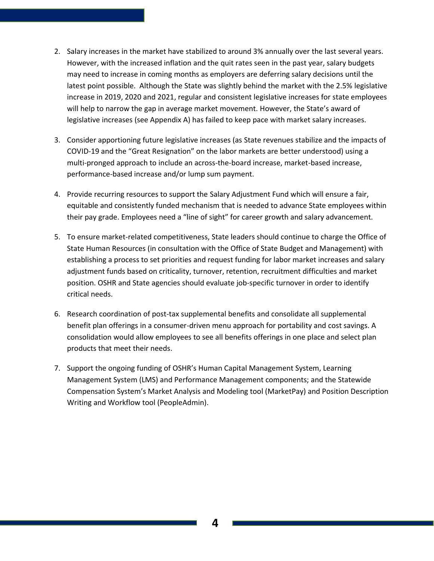- 2. Salary increases in the market have stabilized to around 3% annually over the last several years. However, with the increased inflation and the quit rates seen in the past year, salary budgets may need to increase in coming months as employers are deferring salary decisions until the latest point possible. Although the State was slightly behind the market with the 2.5% legislative increase in 2019, 2020 and 2021, regular and consistent legislative increases for state employees will help to narrow the gap in average market movement. However, the State's award of legislative increases (see Appendix A) has failed to keep pace with market salary increases.
- 3. Consider apportioning future legislative increases (as State revenues stabilize and the impacts of COVID-19 and the "Great Resignation" on the labor markets are better understood) using a multi-pronged approach to include an across-the-board increase, market-based increase, performance-based increase and/or lump sum payment.
- 4. Provide recurring resources to support the Salary Adjustment Fund which will ensure a fair, equitable and consistently funded mechanism that is needed to advance State employees within their pay grade. Employees need a "line of sight" for career growth and salary advancement.
- 5. To ensure market-related competitiveness, State leaders should continue to charge the Office of State Human Resources (in consultation with the Office of State Budget and Management) with establishing a process to set priorities and request funding for labor market increases and salary adjustment funds based on criticality, turnover, retention, recruitment difficulties and market position. OSHR and State agencies should evaluate job-specific turnover in order to identify critical needs.
- 6. Research coordination of post-tax supplemental benefits and consolidate all supplemental benefit plan offerings in a consumer-driven menu approach for portability and cost savings. A consolidation would allow employees to see all benefits offerings in one place and select plan products that meet their needs.
- 7. Support the ongoing funding of OSHR's Human Capital Management System, Learning Management System (LMS) and Performance Management components; and the Statewide Compensation System's Market Analysis and Modeling tool (MarketPay) and Position Description Writing and Workflow tool (PeopleAdmin).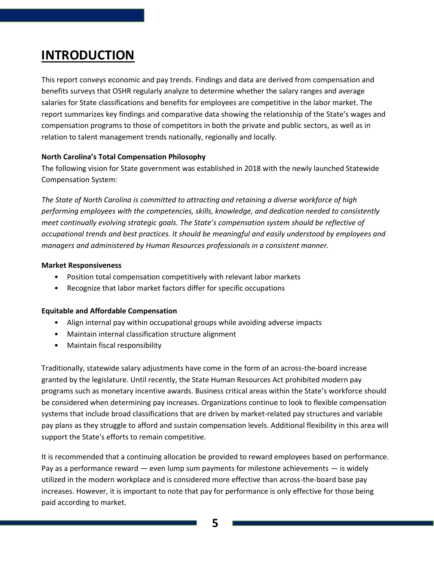### **INTRODUCTION**

This report conveys economic and pay trends. Findings and data are derived from compensation and benefits surveys that OSHR regularly analyze to determine whether the salary ranges and average salaries for State classifications and benefits for employees are competitive in the labor market. The report summarizes key findings and comparative data showing the relationship of the State's wages and compensation programs to those of competitors in both the private and public sectors, as well as in relation to talent management trends nationally, regionally and locally.

#### **North Carolina's Total Compensation Philosophy**

The following vision for State government was established in 2018 with the newly launched Statewide Compensation System:

*The State of North Carolina is committed to attracting and retaining a diverse workforce of high performing employees with the competencies, skills, knowledge, and dedication needed to consistently meet continually evolving strategic goals. The State's compensation system should be reflective of occupational trends and best practices. It should be meaningful and easily understood by employees and managers and administered by Human Resources professionals in a consistent manner.*

#### **Market Responsiveness**

- Position total compensation competitively with relevant labor markets
- Recognize that labor market factors differ for specific occupations

#### **Equitable and Affordable Compensation**

- Align internal pay within occupational groups while avoiding adverse impacts
- Maintain internal classification structure alignment
- Maintain fiscal responsibility

Traditionally, statewide salary adjustments have come in the form of an across-the-board increase granted by the legislature. Until recently, the State Human Resources Act prohibited modern pay programs such as monetary incentive awards. Business critical areas within the State's workforce should be considered when determining pay increases. Organizations continue to look to flexible compensation systems that include broad classifications that are driven by market-related pay structures and variable pay plans as they struggle to afford and sustain compensation levels. Additional flexibility in this area will support the State's efforts to remain competitive.

It is recommended that a continuing allocation be provided to reward employees based on performance. Pay as a performance reward — even lump sum payments for milestone achievements — is widely utilized in the modern workplace and is considered more effective than across-the-board base pay increases. However, it is important to note that pay for performance is only effective for those being paid according to market.

**5**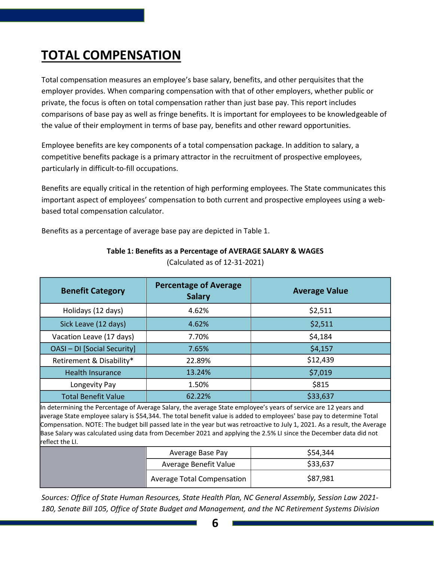## **TOTAL COMPENSATION**

Total compensation measures an employee's base salary, benefits, and other perquisites that the employer provides. When comparing compensation with that of other employers, whether public or private, the focus is often on total compensation rather than just base pay. This report includes comparisons of base pay as well as fringe benefits. It is important for employees to be knowledgeable of the value of their employment in terms of base pay, benefits and other reward opportunities.

Employee benefits are key components of a total compensation package. In addition to salary, a competitive benefits package is a primary attractor in the recruitment of prospective employees, particularly in difficult-to-fill occupations.

Benefits are equally critical in the retention of high performing employees. The State communicates this important aspect of employees' compensation to both current and prospective employees using a webbased total compensation calculator.

Benefits as a percentage of average base pay are depicted in Table 1.

| <b>Benefit Category</b>     | <b>Percentage of Average</b><br><b>Salary</b> | <b>Average Value</b> |
|-----------------------------|-----------------------------------------------|----------------------|
| Holidays (12 days)          | 4.62%                                         | \$2,511              |
| Sick Leave (12 days)        | 4.62%                                         | \$2,511              |
| Vacation Leave (17 days)    | 7.70%                                         | \$4,184              |
| OASI - DI [Social Security] | 7.65%                                         | \$4,157              |
| Retirement & Disability*    | 22.89%                                        | \$12,439             |
| <b>Health Insurance</b>     | 13.24%                                        | \$7,019              |
| Longevity Pay               | 1.50%                                         | \$815                |
| <b>Total Benefit Value</b>  | 62.22%                                        | \$33,637             |

**Table 1: Benefits as a Percentage of AVERAGE SALARY & WAGES** 

(Calculated as of 12-31-2021)

In determining the Percentage of Average Salary, the average State employee's years of service are 12 years and average State employee salary is \$54,344. The total benefit value is added to employees' base pay to determine Total Compensation. NOTE: The budget bill passed late in the year but was retroactive to July 1, 2021. As a result, the Average Base Salary was calculated using data from December 2021 and applying the 2.5% LI since the December data did not reflect the LI.

|                       | Average Base Pay                  | \$54,344 |
|-----------------------|-----------------------------------|----------|
| Average Benefit Value |                                   | \$33,637 |
|                       | <b>Average Total Compensation</b> | \$87,981 |

*Sources: Office of State Human Resources, State Health Plan, NC General Assembly, Session Law 2021- 180, Senate Bill 105, Office of State Budget and Management, and the NC Retirement Systems Division*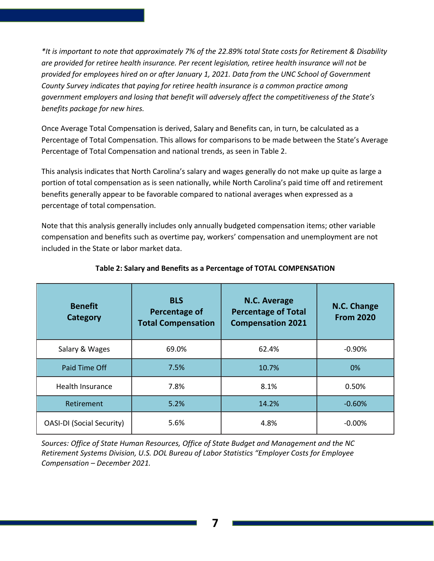*\*It is important to note that approximately 7% of the 22.89% total State costs for Retirement & Disability are provided for retiree health insurance. Per recent legislation, retiree health insurance will not be provided for employees hired on or after January 1, 2021. Data from the UNC School of Government County Survey indicates that paying for retiree health insurance is a common practice among government employers and losing that benefit will adversely affect the competitiveness of the State's benefits package for new hires.*

Once Average Total Compensation is derived, Salary and Benefits can, in turn, be calculated as a Percentage of Total Compensation. This allows for comparisons to be made between the State's Average Percentage of Total Compensation and national trends, as seen in Table 2.

This analysis indicates that North Carolina's salary and wages generally do not make up quite as large a portion of total compensation as is seen nationally, while North Carolina's paid time off and retirement benefits generally appear to be favorable compared to national averages when expressed as a percentage of total compensation.

Note that this analysis generally includes only annually budgeted compensation items; other variable compensation and benefits such as overtime pay, workers' compensation and unemployment are not included in the State or labor market data.

| <b>Benefit</b><br><b>Category</b> | <b>BLS</b><br>Percentage of<br><b>Total Compensation</b> | <b>N.C. Average</b><br><b>Percentage of Total</b><br><b>Compensation 2021</b> | N.C. Change<br><b>From 2020</b> |
|-----------------------------------|----------------------------------------------------------|-------------------------------------------------------------------------------|---------------------------------|
| Salary & Wages<br>69.0%           |                                                          | 62.4%                                                                         | $-0.90%$                        |
| Paid Time Off                     | 7.5%                                                     | 10.7%                                                                         | 0%                              |
| <b>Health Insurance</b>           | 7.8%                                                     | 8.1%                                                                          | 0.50%                           |
| Retirement                        | 5.2%                                                     | 14.2%                                                                         | $-0.60%$                        |
| <b>OASI-DI (Social Security)</b>  | 5.6%                                                     | 4.8%                                                                          | $-0.00\%$                       |

#### **Table 2: Salary and Benefits as a Percentage of TOTAL COMPENSATION**

*Sources: Office of State Human Resources, Office of State Budget and Management and the NC Retirement Systems Division, U.S. DOL Bureau of Labor Statistics "Employer Costs for Employee Compensation – December 2021.*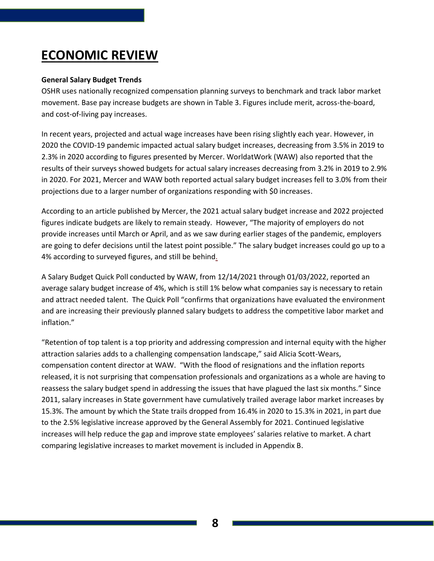## **ECONOMIC REVIEW**

#### **General Salary Budget Trends**

OSHR uses nationally recognized compensation planning surveys to benchmark and track labor market movement. Base pay increase budgets are shown in Table 3. Figures include merit, across-the-board, and cost-of-living pay increases.

In recent years, projected and actual wage increases have been rising slightly each year. However, in 2020 the COVID-19 pandemic impacted actual salary budget increases, decreasing from 3.5% in 2019 to 2.3% in 2020 according to figures presented by Mercer. WorldatWork (WAW) also reported that the results of their surveys showed budgets for actual salary increases decreasing from 3.2% in 2019 to 2.9% in 2020. For 2021, Mercer and WAW both reported actual salary budget increases fell to 3.0% from their projections due to a larger number of organizations responding with \$0 increases.

According to an article published by Mercer, the 2021 actual salary budget increase and 2022 projected figures indicate budgets are likely to remain steady. However, "The majority of employers do not provide increases until March or April, and as we saw during earlier stages of the pandemic, employers are going to defer decisions until the latest point possible." The salary budget increases could go up to a 4% according to surveyed figures, and still be behind.

A Salary Budget Quick Poll conducted by WAW, from 12/14/2021 through 01/03/2022, reported an average salary budget increase of 4%, which is still 1% below what companies say is necessary to retain and attract needed talent. The Quick Poll "confirms that organizations have evaluated the environment and are increasing their previously planned salary budgets to address the competitive labor market and inflation."

"Retention of top talent is a top priority and addressing compression and internal equity with the higher attraction salaries adds to a challenging compensation landscape," said Alicia Scott-Wears, compensation content director at WAW. "With the flood of resignations and the inflation reports released, it is not surprising that compensation professionals and organizations as a whole are having to reassess the salary budget spend in addressing the issues that have plagued the last six months." Since 2011, salary increases in State government have cumulatively trailed average labor market increases by 15.3%. The amount by which the State trails dropped from 16.4% in 2020 to 15.3% in 2021, in part due to the 2.5% legislative increase approved by the General Assembly for 2021. Continued legislative increases will help reduce the gap and improve state employees' salaries relative to market. A chart comparing legislative increases to market movement is included in Appendix B.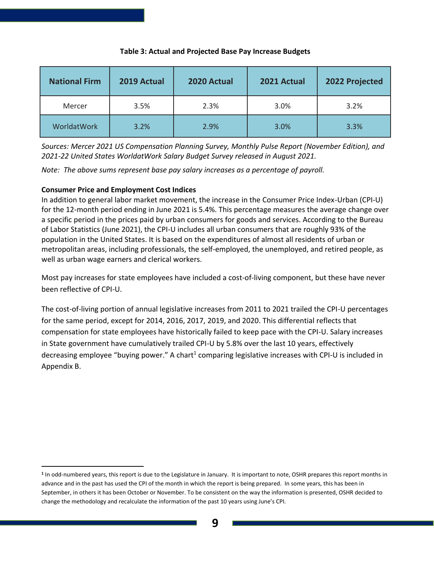| <b>National Firm</b> | 2019 Actual | 2020 Actual | 2021 Actual | 2022 Projected |
|----------------------|-------------|-------------|-------------|----------------|
| Mercer               | 3.5%        | 2.3%        | 3.0%        | 3.2%           |
| WorldatWork          | 3.2%        | 2.9%        | 3.0%        | 3.3%           |

#### **Table 3: Actual and Projected Base Pay Increase Budgets**

*Sources: Mercer 2021 US Compensation Planning Survey, Monthly Pulse Report (November Edition), and 2021-22 United States WorldatWork Salary Budget Survey released in August 2021.* 

*Note: The above sums represent base pay salary increases as a percentage of payroll.*

#### **Consumer Price and Employment Cost Indices**

In addition to general labor market movement, the increase in the Consumer Price Index-Urban (CPI-U) for the 12-month period ending in June 2021 is 5.4%. This percentage measures the average change over a specific period in the prices paid by urban consumers for goods and services. According to the Bureau of Labor Statistics (June 2021), the CPI-U includes all urban consumers that are roughly 93% of the population in the United States. It is based on the expenditures of almost all residents of urban or metropolitan areas, including professionals, the self-employed, the unemployed, and retired people, as well as urban wage earners and clerical workers.

Most pay increases for state employees have included a cost-of-living component, but these have never been reflective of CPI-U.

The cost-of-living portion of annual legislative increases from 2011 to 2021 trailed the CPI-U percentages for the same period, except for 2014, 2016, 2017, 2019, and 2020. This differential reflects that compensation for state employees have historically failed to keep pace with the CPI-U. Salary increases in State government have cumulatively trailed CPI-U by 5.8% over the last 10 years, effectively decreasing employee "buying power." A chart<sup>1</sup> comparing legislative increases with CPI-U is included in Appendix B.

**<sup>1</sup>** In odd-numbered years, this report is due to the Legislature in January. It is important to note, OSHR prepares this report months in advance and in the past has used the CPI of the month in which the report is being prepared. In some years, this has been in September, in others it has been October or November. To be consistent on the way the information is presented, OSHR decided to change the methodology and recalculate the information of the past 10 years using June's CPI.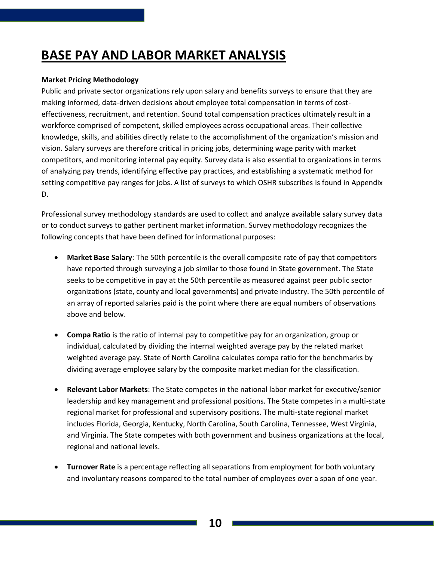## **BASE PAY AND LABOR MARKET ANALYSIS**

#### **Market Pricing Methodology**

Public and private sector organizations rely upon salary and benefits surveys to ensure that they are making informed, data-driven decisions about employee total compensation in terms of costeffectiveness, recruitment, and retention. Sound total compensation practices ultimately result in a workforce comprised of competent, skilled employees across occupational areas. Their collective knowledge, skills, and abilities directly relate to the accomplishment of the organization's mission and vision. Salary surveys are therefore critical in pricing jobs, determining wage parity with market competitors, and monitoring internal pay equity. Survey data is also essential to organizations in terms of analyzing pay trends, identifying effective pay practices, and establishing a systematic method for setting competitive pay ranges for jobs. A list of surveys to which OSHR subscribes is found in Appendix D.

Professional survey methodology standards are used to collect and analyze available salary survey data or to conduct surveys to gather pertinent market information. Survey methodology recognizes the following concepts that have been defined for informational purposes:

- **Market Base Salary**: The 50th percentile is the overall composite rate of pay that competitors have reported through surveying a job similar to those found in State government. The State seeks to be competitive in pay at the 50th percentile as measured against peer public sector organizations (state, county and local governments) and private industry. The 50th percentile of an array of reported salaries paid is the point where there are equal numbers of observations above and below.
- **Compa Ratio** is the ratio of internal pay to competitive pay for an organization, group or individual, calculated by dividing the internal weighted average pay by the related market weighted average pay. State of North Carolina calculates compa ratio for the benchmarks by dividing average employee salary by the composite market median for the classification.
- **Relevant Labor Markets**: The State competes in the national labor market for executive/senior leadership and key management and professional positions. The State competes in a multi-state regional market for professional and supervisory positions. The multi-state regional market includes Florida, Georgia, Kentucky, North Carolina, South Carolina, Tennessee, West Virginia, and Virginia. The State competes with both government and business organizations at the local, regional and national levels.
- **Turnover Rate** is a percentage reflecting all separations from employment for both voluntary and involuntary reasons compared to the total number of employees over a span of one year.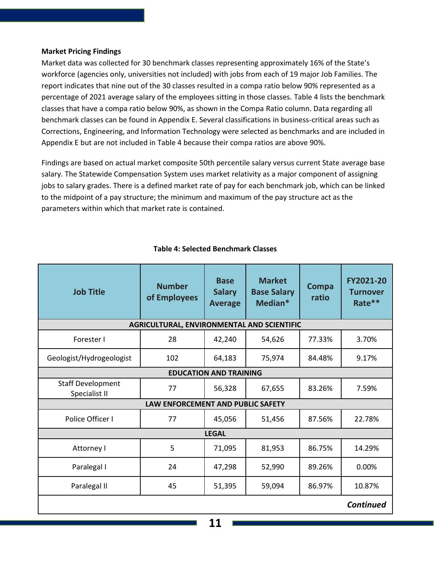#### **Market Pricing Findings**

Market data was collected for 30 benchmark classes representing approximately 16% of the State's workforce (agencies only, universities not included) with jobs from each of 19 major Job Families. The report indicates that nine out of the 30 classes resulted in a compa ratio below 90% represented as a percentage of 2021 average salary of the employees sitting in those classes. Table 4 lists the benchmark classes that have a compa ratio below 90%, as shown in the Compa Ratio column. Data regarding all benchmark classes can be found in Appendix E. Several classifications in business-critical areas such as Corrections, Engineering, and Information Technology were selected as benchmarks and are included in Appendix E but are not included in Table 4 because their compa ratios are above 90%.

Findings are based on actual market composite 50th percentile salary versus current State average base salary. The Statewide Compensation System uses market relativity as a major component of assigning jobs to salary grades. There is a defined market rate of pay for each benchmark job, which can be linked to the midpoint of a pay structure; the minimum and maximum of the pay structure act as the parameters within which that market rate is contained.

| <b>Job Title</b>                          | <b>Number</b><br>of Employees              | <b>Base</b><br><b>Salary</b><br><b>Average</b> | <b>Market</b><br><b>Base Salary</b><br>Median* | Compa<br>ratio | FY2021-20<br><b>Turnover</b><br>Rate** |  |
|-------------------------------------------|--------------------------------------------|------------------------------------------------|------------------------------------------------|----------------|----------------------------------------|--|
|                                           | AGRICULTURAL, ENVIRONMENTAL AND SCIENTIFIC |                                                |                                                |                |                                        |  |
| Forester I                                | 28                                         | 42,240                                         | 54,626                                         | 77.33%         | 3.70%                                  |  |
| Geologist/Hydrogeologist                  | 102                                        | 64,183                                         | 75,974                                         | 84.48%         | 9.17%                                  |  |
|                                           | <b>EDUCATION AND TRAINING</b>              |                                                |                                                |                |                                        |  |
| <b>Staff Development</b><br>Specialist II | 77                                         | 56,328                                         | 67,655                                         | 83.26%         | 7.59%                                  |  |
| LAW ENFORCEMENT AND PUBLIC SAFETY         |                                            |                                                |                                                |                |                                        |  |
| Police Officer I                          | 77                                         | 45,056                                         | 51,456                                         | 87.56%         | 22.78%                                 |  |
|                                           |                                            | <b>LEGAL</b>                                   |                                                |                |                                        |  |
| Attorney I                                | 5                                          | 71,095                                         | 81,953                                         | 86.75%         | 14.29%                                 |  |
| Paralegal I                               | 24                                         | 47,298                                         | 52,990                                         | 89.26%         | 0.00%                                  |  |
| Paralegal II                              | 45                                         | 51,395                                         | 59,094                                         | 86.97%         | 10.87%                                 |  |
|                                           |                                            |                                                |                                                |                | <b>Continued</b>                       |  |

#### **Table 4: Selected Benchmark Classes**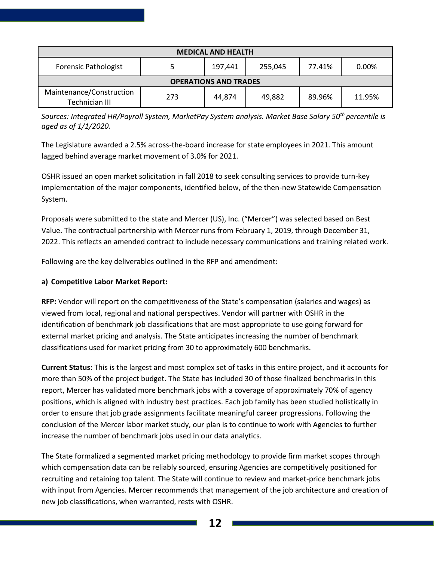| <b>MEDICAL AND HEALTH</b>                  |     |         |         |        |        |
|--------------------------------------------|-----|---------|---------|--------|--------|
| <b>Forensic Pathologist</b>                |     | 197,441 | 255,045 | 77.41% | 0.00%  |
| <b>OPERATIONS AND TRADES</b>               |     |         |         |        |        |
| Maintenance/Construction<br>Technician III | 273 | 44,874  | 49,882  | 89.96% | 11.95% |

*Sources: Integrated HR/Payroll System, MarketPay System analysis. Market Base Salary 50th percentile is aged as of 1/1/2020.*

The Legislature awarded a 2.5% across-the-board increase for state employees in 2021. This amount lagged behind average market movement of 3.0% for 2021.

OSHR issued an open market solicitation in fall 2018 to seek consulting services to provide turn-key implementation of the major components, identified below, of the then-new Statewide Compensation System.

Proposals were submitted to the state and Mercer (US), Inc. ("Mercer") was selected based on Best Value. The contractual partnership with Mercer runs from February 1, 2019, through December 31, 2022. This reflects an amended contract to include necessary communications and training related work.

Following are the key deliverables outlined in the RFP and amendment:

#### **a) Competitive Labor Market Report:**

**RFP:** Vendor will report on the competitiveness of the State's compensation (salaries and wages) as viewed from local, regional and national perspectives. Vendor will partner with OSHR in the identification of benchmark job classifications that are most appropriate to use going forward for external market pricing and analysis. The State anticipates increasing the number of benchmark classifications used for market pricing from 30 to approximately 600 benchmarks.

**Current Status:** This is the largest and most complex set of tasks in this entire project, and it accounts for more than 50% of the project budget. The State has included 30 of those finalized benchmarks in this report, Mercer has validated more benchmark jobs with a coverage of approximately 70% of agency positions, which is aligned with industry best practices. Each job family has been studied holistically in order to ensure that job grade assignments facilitate meaningful career progressions. Following the conclusion of the Mercer labor market study, our plan is to continue to work with Agencies to further increase the number of benchmark jobs used in our data analytics.

The State formalized a segmented market pricing methodology to provide firm market scopes through which compensation data can be reliably sourced, ensuring Agencies are competitively positioned for recruiting and retaining top talent. The State will continue to review and market-price benchmark jobs with input from Agencies. Mercer recommends that management of the job architecture and creation of new job classifications, when warranted, rests with OSHR.

**12**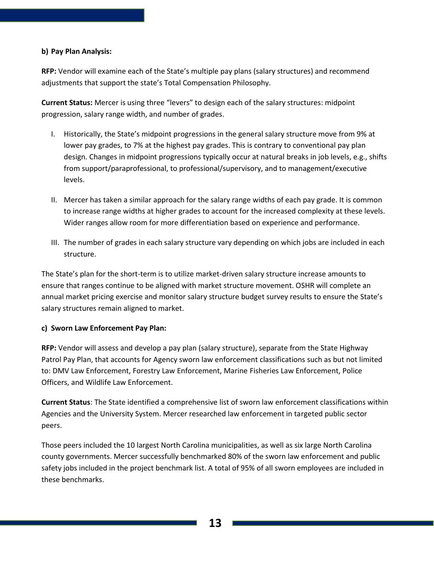#### **b) Pay Plan Analysis:**

**RFP:** Vendor will examine each of the State's multiple pay plans (salary structures) and recommend adjustments that support the state's Total Compensation Philosophy.

**Current Status:** Mercer is using three "levers" to design each of the salary structures: midpoint progression, salary range width, and number of grades.

- I. Historically, the State's midpoint progressions in the general salary structure move from 9% at lower pay grades, to 7% at the highest pay grades. This is contrary to conventional pay plan design. Changes in midpoint progressions typically occur at natural breaks in job levels, e.g., shifts from support/paraprofessional, to professional/supervisory, and to management/executive levels.
- II. Mercer has taken a similar approach for the salary range widths of each pay grade. It is common to increase range widths at higher grades to account for the increased complexity at these levels. Wider ranges allow room for more differentiation based on experience and performance.
- III. The number of grades in each salary structure vary depending on which jobs are included in each structure.

The State's plan for the short-term is to utilize market-driven salary structure increase amounts to ensure that ranges continue to be aligned with market structure movement. OSHR will complete an annual market pricing exercise and monitor salary structure budget survey results to ensure the State's salary structures remain aligned to market.

#### **c) Sworn Law Enforcement Pay Plan:**

**RFP:** Vendor will assess and develop a pay plan (salary structure), separate from the State Highway Patrol Pay Plan, that accounts for Agency sworn law enforcement classifications such as but not limited to: DMV Law Enforcement, Forestry Law Enforcement, Marine Fisheries Law Enforcement, Police Officers, and Wildlife Law Enforcement.

**Current Status**: The State identified a comprehensive list of sworn law enforcement classifications within Agencies and the University System. Mercer researched law enforcement in targeted public sector peers.

Those peers included the 10 largest North Carolina municipalities, as well as six large North Carolina county governments. Mercer successfully benchmarked 80% of the sworn law enforcement and public safety jobs included in the project benchmark list. A total of 95% of all sworn employees are included in these benchmarks.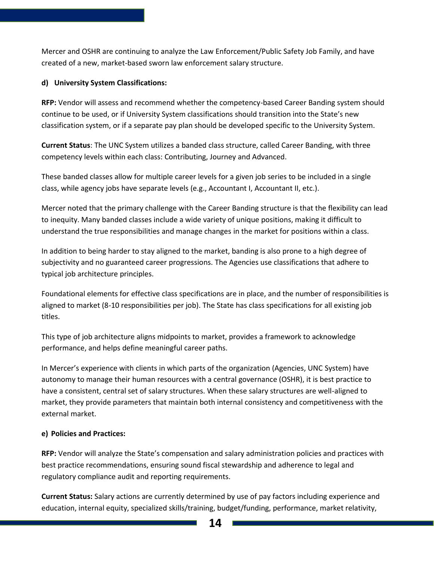Mercer and OSHR are continuing to analyze the Law Enforcement/Public Safety Job Family, and have created of a new, market-based sworn law enforcement salary structure.

#### **d) University System Classifications:**

**RFP:** Vendor will assess and recommend whether the competency-based Career Banding system should continue to be used, or if University System classifications should transition into the State's new classification system, or if a separate pay plan should be developed specific to the University System.

**Current Status**: The UNC System utilizes a banded class structure, called Career Banding, with three competency levels within each class: Contributing, Journey and Advanced.

These banded classes allow for multiple career levels for a given job series to be included in a single class, while agency jobs have separate levels (e.g., Accountant I, Accountant II, etc.).

Mercer noted that the primary challenge with the Career Banding structure is that the flexibility can lead to inequity. Many banded classes include a wide variety of unique positions, making it difficult to understand the true responsibilities and manage changes in the market for positions within a class.

In addition to being harder to stay aligned to the market, banding is also prone to a high degree of subjectivity and no guaranteed career progressions. The Agencies use classifications that adhere to typical job architecture principles.

Foundational elements for effective class specifications are in place, and the number of responsibilities is aligned to market (8-10 responsibilities per job). The State has class specifications for all existing job titles.

This type of job architecture aligns midpoints to market, provides a framework to acknowledge performance, and helps define meaningful career paths.

In Mercer's experience with clients in which parts of the organization (Agencies, UNC System) have autonomy to manage their human resources with a central governance (OSHR), it is best practice to have a consistent, central set of salary structures. When these salary structures are well-aligned to market, they provide parameters that maintain both internal consistency and competitiveness with the external market.

#### **e) Policies and Practices:**

**RFP:** Vendor will analyze the State's compensation and salary administration policies and practices with best practice recommendations, ensuring sound fiscal stewardship and adherence to legal and regulatory compliance audit and reporting requirements.

**Current Status:** Salary actions are currently determined by use of pay factors including experience and education, internal equity, specialized skills/training, budget/funding, performance, market relativity,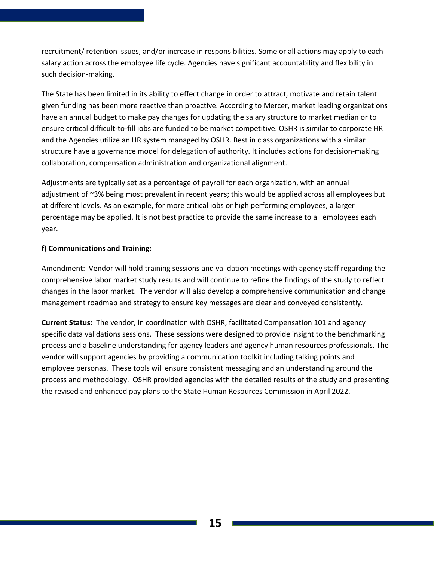recruitment/ retention issues, and/or increase in responsibilities. Some or all actions may apply to each salary action across the employee life cycle. Agencies have significant accountability and flexibility in such decision-making.

The State has been limited in its ability to effect change in order to attract, motivate and retain talent given funding has been more reactive than proactive. According to Mercer, market leading organizations have an annual budget to make pay changes for updating the salary structure to market median or to ensure critical difficult-to-fill jobs are funded to be market competitive. OSHR is similar to corporate HR and the Agencies utilize an HR system managed by OSHR. Best in class organizations with a similar structure have a governance model for delegation of authority. It includes actions for decision-making collaboration, compensation administration and organizational alignment.

Adjustments are typically set as a percentage of payroll for each organization, with an annual adjustment of ~3% being most prevalent in recent years; this would be applied across all employees but at different levels. As an example, for more critical jobs or high performing employees, a larger percentage may be applied. It is not best practice to provide the same increase to all employees each year.

#### **f) Communications and Training:**

Amendment: Vendor will hold training sessions and validation meetings with agency staff regarding the comprehensive labor market study results and will continue to refine the findings of the study to reflect changes in the labor market. The vendor will also develop a comprehensive communication and change management roadmap and strategy to ensure key messages are clear and conveyed consistently.

**Current Status:** The vendor, in coordination with OSHR, facilitated Compensation 101 and agency specific data validations sessions. These sessions were designed to provide insight to the benchmarking process and a baseline understanding for agency leaders and agency human resources professionals. The vendor will support agencies by providing a communication toolkit including talking points and employee personas. These tools will ensure consistent messaging and an understanding around the process and methodology. OSHR provided agencies with the detailed results of the study and presenting the revised and enhanced pay plans to the State Human Resources Commission in April 2022.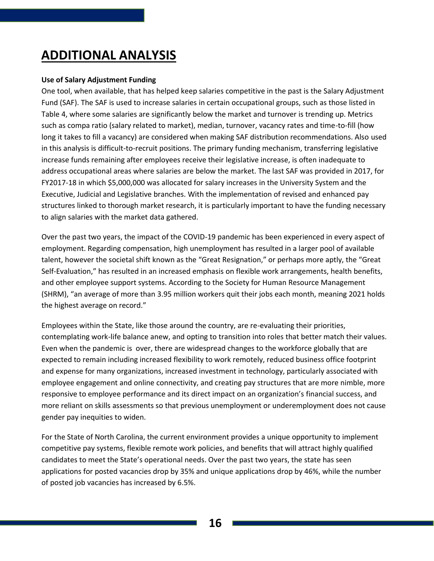## **ADDITIONAL ANALYSIS**

#### **Use of Salary Adjustment Funding**

One tool, when available, that has helped keep salaries competitive in the past is the Salary Adjustment Fund (SAF). The SAF is used to increase salaries in certain occupational groups, such as those listed in Table 4, where some salaries are significantly below the market and turnover is trending up. Metrics such as compa ratio (salary related to market), median, turnover, vacancy rates and time-to-fill (how long it takes to fill a vacancy) are considered when making SAF distribution recommendations. Also used in this analysis is difficult-to-recruit positions. The primary funding mechanism, transferring legislative increase funds remaining after employees receive their legislative increase, is often inadequate to address occupational areas where salaries are below the market. The last SAF was provided in 2017, for FY2017-18 in which \$5,000,000 was allocated for salary increases in the University System and the Executive, Judicial and Legislative branches. With the implementation of revised and enhanced pay structures linked to thorough market research, it is particularly important to have the funding necessary to align salaries with the market data gathered.

Over the past two years, the impact of the COVID-19 pandemic has been experienced in every aspect of employment. Regarding compensation, high unemployment has resulted in a larger pool of available talent, however the societal shift known as the "Great Resignation," or perhaps more aptly, the "Great Self-Evaluation," has resulted in an increased emphasis on flexible work arrangements, health benefits, and other employee support systems. According to the Society for Human Resource Management (SHRM), "an average of more than 3.95 million workers quit their jobs each month, meaning 2021 holds the highest average on record."

Employees within the State, like those around the country, are re-evaluating their priorities, contemplating work-life balance anew, and opting to transition into roles that better match their values. Even when the pandemic is over, there are widespread changes to the workforce globally that are expected to remain including increased flexibility to work remotely, reduced business office footprint and expense for many organizations, increased investment in technology, particularly associated with employee engagement and online connectivity, and creating pay structures that are more nimble, more responsive to employee performance and its direct impact on an organization's financial success, and more reliant on skills assessments so that previous unemployment or underemployment does not cause gender pay inequities to widen.

For the State of North Carolina, the current environment provides a unique opportunity to implement competitive pay systems, flexible remote work policies, and benefits that will attract highly qualified candidates to meet the State's operational needs. Over the past two years, the state has seen applications for posted vacancies drop by 35% and unique applications drop by 46%, while the number of posted job vacancies has increased by 6.5%.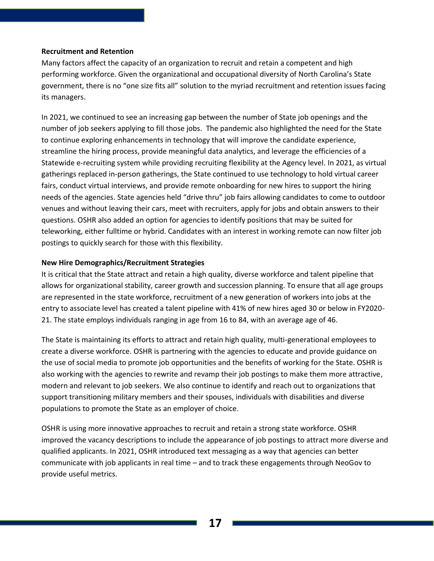#### **Recruitment and Retention**

Many factors affect the capacity of an organization to recruit and retain a competent and high performing workforce. Given the organizational and occupational diversity of North Carolina's State government, there is no "one size fits all" solution to the myriad recruitment and retention issues facing its managers.

In 2021, we continued to see an increasing gap between the number of State job openings and the number of job seekers applying to fill those jobs. The pandemic also highlighted the need for the State to continue exploring enhancements in technology that will improve the candidate experience, streamline the hiring process, provide meaningful data analytics, and leverage the efficiencies of a Statewide e-recruiting system while providing recruiting flexibility at the Agency level. In 2021, as virtual gatherings replaced in-person gatherings, the State continued to use technology to hold virtual career fairs, conduct virtual interviews, and provide remote onboarding for new hires to support the hiring needs of the agencies. State agencies held "drive thru" job fairs allowing candidates to come to outdoor venues and without leaving their cars, meet with recruiters, apply for jobs and obtain answers to their questions. OSHR also added an option for agencies to identify positions that may be suited for teleworking, either fulltime or hybrid. Candidates with an interest in working remote can now filter job postings to quickly search for those with this flexibility.

#### **New Hire Demographics/Recruitment Strategies**

It is critical that the State attract and retain a high quality, diverse workforce and talent pipeline that allows for organizational stability, career growth and succession planning. To ensure that all age groups are represented in the state workforce, recruitment of a new generation of workers into jobs at the entry to associate level has created a talent pipeline with 41% of new hires aged 30 or below in FY2020- 21. The state employs individuals ranging in age from 16 to 84, with an average age of 46.

The State is maintaining its efforts to attract and retain high quality, multi-generational employees to create a diverse workforce. OSHR is partnering with the agencies to educate and provide guidance on the use of social media to promote job opportunities and the benefits of working for the State. OSHR is also working with the agencies to rewrite and revamp their job postings to make them more attractive, modern and relevant to job seekers. We also continue to identify and reach out to organizations that support transitioning military members and their spouses, individuals with disabilities and diverse populations to promote the State as an employer of choice.

OSHR is using more innovative approaches to recruit and retain a strong state workforce. OSHR improved the vacancy descriptions to include the appearance of job postings to attract more diverse and qualified applicants. In 2021, OSHR introduced text messaging as a way that agencies can better communicate with job applicants in real time – and to track these engagements through NeoGov to provide useful metrics.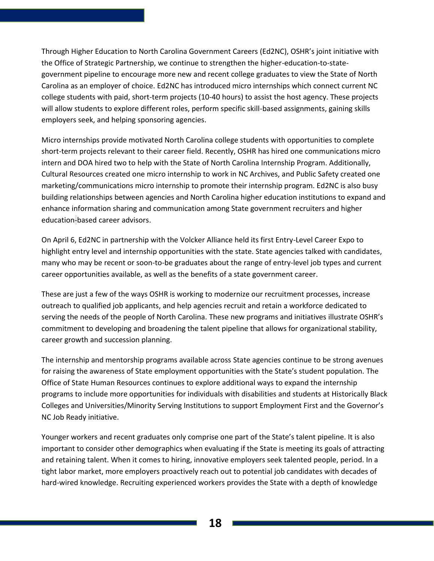Through Higher Education to North Carolina Government Careers (Ed2NC), OSHR's joint initiative with the Office of Strategic Partnership, we continue to strengthen the higher-education-to-stategovernment pipeline to encourage more new and recent college graduates to view the State of North Carolina as an employer of choice. Ed2NC has introduced micro internships which connect current NC college students with paid, short-term projects (10-40 hours) to assist the host agency. These projects will allow students to explore different roles, perform specific skill-based assignments, gaining skills employers seek, and helping sponsoring agencies.

Micro internships provide motivated North Carolina college students with opportunities to complete short-term projects relevant to their career field. Recently, OSHR has hired one communications micro intern and DOA hired two to help with the State of North Carolina Internship Program. Additionally, Cultural Resources created one micro internship to work in NC Archives, and Public Safety created one marketing/communications micro internship to promote their internship program. Ed2NC is also busy building relationships between agencies and North Carolina higher education institutions to expand and enhance information sharing and communication among State government recruiters and higher education-based career advisors.

On April 6, Ed2NC in partnership with the Volcker Alliance held its first Entry-Level Career Expo to highlight entry level and internship opportunities with the state. State agencies talked with candidates, many who may be recent or soon-to-be graduates about the range of entry-level job types and current career opportunities available, as well as the benefits of a state government career.

These are just a few of the ways OSHR is working to modernize our recruitment processes, increase outreach to qualified job applicants, and help agencies recruit and retain a workforce dedicated to serving the needs of the people of North Carolina. These new programs and initiatives illustrate OSHR's commitment to developing and broadening the talent pipeline that allows for organizational stability, career growth and succession planning.

The internship and mentorship programs available across State agencies continue to be strong avenues for raising the awareness of State employment opportunities with the State's student population. The Office of State Human Resources continues to explore additional ways to expand the internship programs to include more opportunities for individuals with disabilities and students at Historically Black Colleges and Universities/Minority Serving Institutions to support Employment First and the Governor's NC Job Ready initiative.

Younger workers and recent graduates only comprise one part of the State's talent pipeline. It is also important to consider other demographics when evaluating if the State is meeting its goals of attracting and retaining talent. When it comes to hiring, innovative employers seek talented people, period. In a tight labor market, more employers proactively reach out to potential job candidates with decades of hard-wired knowledge. Recruiting experienced workers provides the State with a depth of knowledge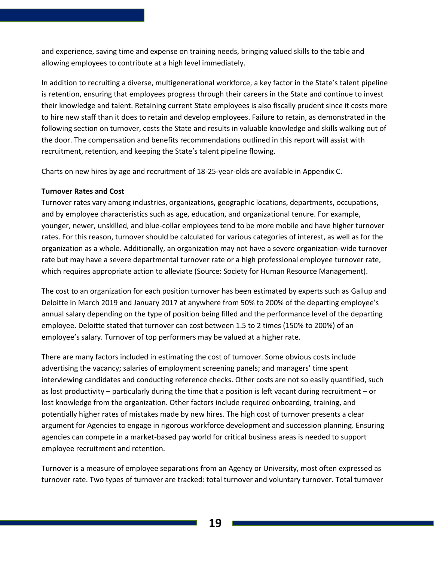and experience, saving time and expense on training needs, bringing valued skills to the table and allowing employees to contribute at a high level immediately.

In addition to recruiting a diverse, multigenerational workforce, a key factor in the State's talent pipeline is retention, ensuring that employees progress through their careers in the State and continue to invest their knowledge and talent. Retaining current State employees is also fiscally prudent since it costs more to hire new staff than it does to retain and develop employees. Failure to retain, as demonstrated in the following section on turnover, costs the State and results in valuable knowledge and skills walking out of the door. The compensation and benefits recommendations outlined in this report will assist with recruitment, retention, and keeping the State's talent pipeline flowing.

Charts on new hires by age and recruitment of 18-25-year-olds are available in Appendix C.

#### **Turnover Rates and Cost**

Turnover rates vary among industries, organizations, geographic locations, departments, occupations, and by employee characteristics such as age, education, and organizational tenure. For example, younger, newer, unskilled, and blue-collar employees tend to be more mobile and have higher turnover rates. For this reason, turnover should be calculated for various categories of interest, as well as for the organization as a whole. Additionally, an organization may not have a severe organization-wide turnover rate but may have a severe departmental turnover rate or a high professional employee turnover rate, which requires appropriate action to alleviate (Source: Society for Human Resource Management).

The cost to an organization for each position turnover has been estimated by experts such as Gallup and Deloitte in March 2019 and January 2017 at anywhere from 50% to 200% of the departing employee's annual salary depending on the type of position being filled and the performance level of the departing employee. Deloitte stated that turnover can cost between 1.5 to 2 times (150% to 200%) of an employee's salary. Turnover of top performers may be valued at a higher rate.

There are many factors included in estimating the cost of turnover. Some obvious costs include advertising the vacancy; salaries of employment screening panels; and managers' time spent interviewing candidates and conducting reference checks. Other costs are not so easily quantified, such as lost productivity – particularly during the time that a position is left vacant during recruitment – or lost knowledge from the organization. Other factors include required onboarding, training, and potentially higher rates of mistakes made by new hires. The high cost of turnover presents a clear argument for Agencies to engage in rigorous workforce development and succession planning. Ensuring agencies can compete in a market-based pay world for critical business areas is needed to support employee recruitment and retention.

Turnover is a measure of employee separations from an Agency or University, most often expressed as turnover rate. Two types of turnover are tracked: total turnover and voluntary turnover. Total turnover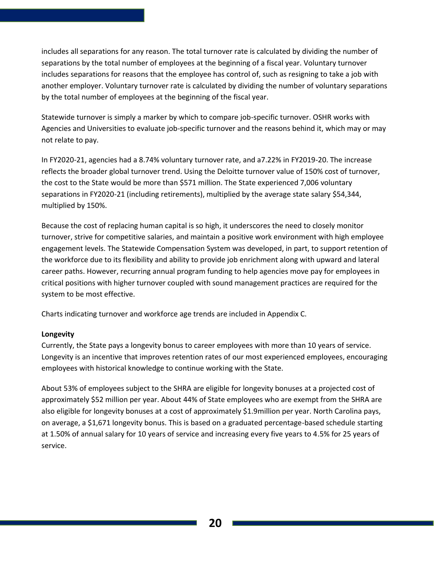includes all separations for any reason. The total turnover rate is calculated by dividing the number of separations by the total number of employees at the beginning of a fiscal year. Voluntary turnover includes separations for reasons that the employee has control of, such as resigning to take a job with another employer. Voluntary turnover rate is calculated by dividing the number of voluntary separations by the total number of employees at the beginning of the fiscal year.

Statewide turnover is simply a marker by which to compare job-specific turnover. OSHR works with Agencies and Universities to evaluate job-specific turnover and the reasons behind it, which may or may not relate to pay.

In FY2020-21, agencies had a 8.74% voluntary turnover rate, and a7.22% in FY2019-20. The increase reflects the broader global turnover trend. Using the Deloitte turnover value of 150% cost of turnover, the cost to the State would be more than \$571 million. The State experienced 7,006 voluntary separations in FY2020-21 (including retirements), multiplied by the average state salary \$54,344, multiplied by 150%.

Because the cost of replacing human capital is so high, it underscores the need to closely monitor turnover, strive for competitive salaries, and maintain a positive work environment with high employee engagement levels. The Statewide Compensation System was developed, in part, to support retention of the workforce due to its flexibility and ability to provide job enrichment along with upward and lateral career paths. However, recurring annual program funding to help agencies move pay for employees in critical positions with higher turnover coupled with sound management practices are required for the system to be most effective.

Charts indicating turnover and workforce age trends are included in Appendix C.

#### **Longevity**

Currently, the State pays a longevity bonus to career employees with more than 10 years of service. Longevity is an incentive that improves retention rates of our most experienced employees, encouraging employees with historical knowledge to continue working with the State.

About 53% of employees subject to the SHRA are eligible for longevity bonuses at a projected cost of approximately \$52 million per year. About 44% of State employees who are exempt from the SHRA are also eligible for longevity bonuses at a cost of approximately \$1.9million per year. North Carolina pays, on average, a \$1,671 longevity bonus. This is based on a graduated percentage-based schedule starting at 1.50% of annual salary for 10 years of service and increasing every five years to 4.5% for 25 years of service.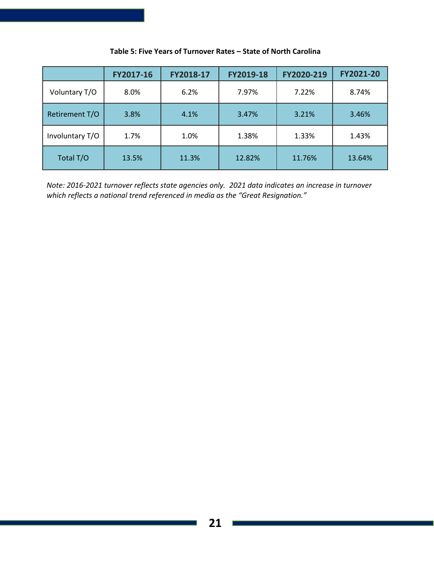|                 | FY2017-16 | FY2018-17 | FY2019-18 | FY2020-219 | FY2021-20 |
|-----------------|-----------|-----------|-----------|------------|-----------|
| Voluntary T/O   | 8.0%      | 6.2%      | 7.97%     | 7.22%      | 8.74%     |
| Retirement T/O  | 3.8%      | 4.1%      | 3.47%     | 3.21%      | 3.46%     |
| Involuntary T/O | 1.7%      | 1.0%      | 1.38%     | 1.33%      | 1.43%     |
| Total T/O       | 13.5%     | 11.3%     | 12.82%    | 11.76%     | 13.64%    |

#### **Table 5: Five Years of Turnover Rates – State of North Carolina**

*Note: 2016-2021 turnover reflects state agencies only. 2021 data indicates an increase in turnover which reflects a national trend referenced in media as the "Great Resignation."*

⊐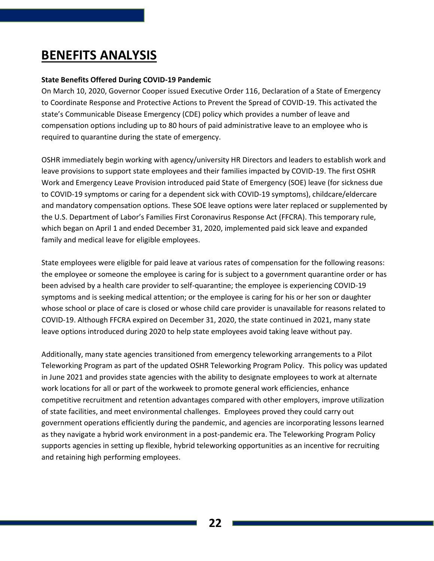## **BENEFITS ANALYSIS**

#### **State Benefits Offered During COVID-19 Pandemic**

On March 10, 2020, Governor Cooper issued Executive Order 116, Declaration of a State of Emergency to Coordinate Response and Protective Actions to Prevent the Spread of COVID-19. This activated the state's Communicable Disease Emergency (CDE) policy which provides a number of leave and compensation options including up to 80 hours of paid administrative leave to an employee who is required to quarantine during the state of emergency.

OSHR immediately begin working with agency/university HR Directors and leaders to establish work and leave provisions to support state employees and their families impacted by COVID-19. The first OSHR Work and Emergency Leave Provision introduced paid State of Emergency (SOE) leave (for sickness due to COVID-19 symptoms or caring for a dependent sick with COVID-19 symptoms), childcare/eldercare and mandatory compensation options. These SOE leave options were later replaced or supplemented by the U.S. Department of Labor's Families First Coronavirus Response Act (FFCRA). This temporary rule, which began on April 1 and ended December 31, 2020, implemented paid sick leave and expanded family and medical leave for eligible employees.

State employees were eligible for paid leave at various rates of compensation for the following reasons: the employee or someone the employee is caring for is subject to a government quarantine order or has been advised by a health care provider to self-quarantine; the employee is experiencing COVID-19 symptoms and is seeking medical attention; or the employee is caring for his or her son or daughter whose school or place of care is closed or whose child care provider is unavailable for reasons related to COVID-19. Although FFCRA expired on December 31, 2020, the state continued in 2021, many state leave options introduced during 2020 to help state employees avoid taking leave without pay.

Additionally, many state agencies transitioned from emergency teleworking arrangements to a Pilot Teleworking Program as part of the updated OSHR Teleworking Program Policy. This policy was updated in June 2021 and provides state agencies with the ability to designate employees to work at alternate work locations for all or part of the workweek to promote general work efficiencies, enhance competitive recruitment and retention advantages compared with other employers, improve utilization of state facilities, and meet environmental challenges. Employees proved they could carry out government operations efficiently during the pandemic, and agencies are incorporating lessons learned as they navigate a hybrid work environment in a post-pandemic era. The Teleworking Program Policy supports agencies in setting up flexible, hybrid teleworking opportunities as an incentive for recruiting and retaining high performing employees.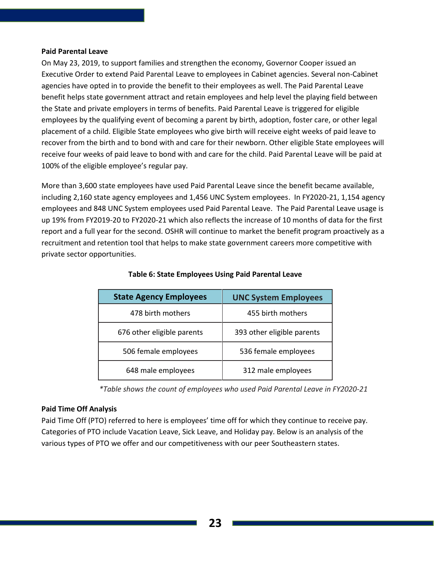#### **Paid Parental Leave**

On May 23, 2019, to support families and strengthen the economy, Governor Cooper issued an Executive Order to extend Paid Parental Leave to employees in Cabinet agencies. Several non-Cabinet agencies have opted in to provide the benefit to their employees as well. The Paid Parental Leave benefit helps state government attract and retain employees and help level the playing field between the State and private employers in terms of benefits. Paid Parental Leave is triggered for eligible employees by the qualifying event of becoming a parent by birth, adoption, foster care, or other legal placement of a child. Eligible State employees who give birth will receive eight weeks of paid leave to recover from the birth and to bond with and care for their newborn. Other eligible State employees will receive four weeks of paid leave to bond with and care for the child. Paid Parental Leave will be paid at 100% of the eligible employee's regular pay.

More than 3,600 state employees have used Paid Parental Leave since the benefit became available, including 2,160 state agency employees and 1,456 UNC System employees. In FY2020-21, 1,154 agency employees and 848 UNC System employees used Paid Parental Leave. The Paid Parental Leave usage is up 19% from FY2019-20 to FY2020-21 which also reflects the increase of 10 months of data for the first report and a full year for the second. OSHR will continue to market the benefit program proactively as a recruitment and retention tool that helps to make state government careers more competitive with private sector opportunities.

| <b>State Agency Employees</b> | <b>UNC System Employees</b> |
|-------------------------------|-----------------------------|
| 478 birth mothers             | 455 birth mothers           |
| 676 other eligible parents    | 393 other eligible parents  |
| 506 female employees          | 536 female employees        |
| 648 male employees            | 312 male employees          |

#### **Table 6: State Employees Using Paid Parental Leave**

*\*Table shows the count of employees who used Paid Parental Leave in FY2020-21*

#### **Paid Time Off Analysis**

Paid Time Off (PTO) referred to here is employees' time off for which they continue to receive pay. Categories of PTO include Vacation Leave, Sick Leave, and Holiday pay. Below is an analysis of the various types of PTO we offer and our competitiveness with our peer Southeastern states.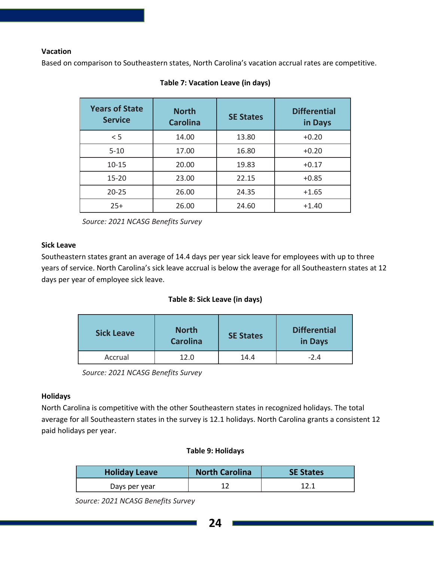#### **Vacation**

Based on comparison to Southeastern states, North Carolina's vacation accrual rates are competitive.

| <b>Years of State</b><br><b>Service</b> | <b>North</b><br><b>Carolina</b> | <b>SE States</b> | <b>Differential</b><br>in Days |
|-----------------------------------------|---------------------------------|------------------|--------------------------------|
| < 5                                     | 14.00                           | 13.80            | $+0.20$                        |
| $5 - 10$                                | 17.00                           | 16.80            | $+0.20$                        |
| $10 - 15$                               | 20.00                           | 19.83            | $+0.17$                        |
| $15 - 20$                               | 23.00                           | 22.15            | $+0.85$                        |
| $20 - 25$                               | 26.00                           | 24.35            | $+1.65$                        |
| $25+$                                   | 26.00                           | 24.60            | $+1.40$                        |

#### **Table 7: Vacation Leave (in days)**

*Source: 2021 NCASG Benefits Survey*

#### **Sick Leave**

Southeastern states grant an average of 14.4 days per year sick leave for employees with up to three years of service. North Carolina's sick leave accrual is below the average for all Southeastern states at 12 days per year of employee sick leave.

#### **Table 8: Sick Leave (in days)**

| <b>North</b><br><b>Sick Leave</b><br><b>Carolina</b> |      | <b>SE States</b> | <b>Differential</b><br>in Days |
|------------------------------------------------------|------|------------------|--------------------------------|
| Accrual                                              | 12.0 | 14.4             | $-2.4$                         |

*Source: 2021 NCASG Benefits Survey*

#### **Holidays**

North Carolina is competitive with the other Southeastern states in recognized holidays. The total average for all Southeastern states in the survey is 12.1 holidays. North Carolina grants a consistent 12 paid holidays per year.

#### **Table 9: Holidays**

| <b>Holiday Leave</b> | <b>North Carolina</b> | <b>SE States</b> |
|----------------------|-----------------------|------------------|
| Days per year        |                       | 12.1             |

 *Source: 2021 NCASG Benefits Survey*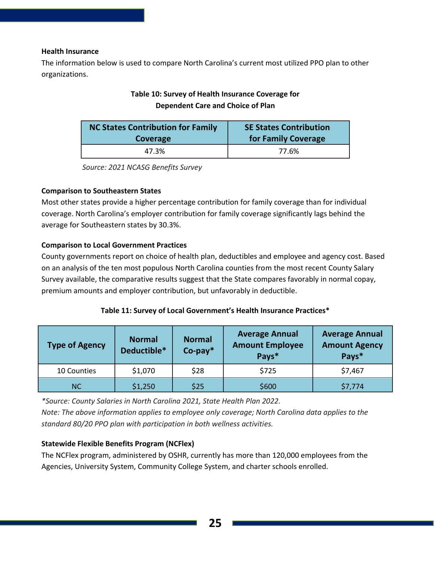#### **Health Insurance**

The information below is used to compare North Carolina's current most utilized PPO plan to other organizations.

#### **Table 10: Survey of Health Insurance Coverage for Dependent Care and Choice of Plan**

| <b>NC States Contribution for Family</b> | <b>SE States Contribution</b> |  |  |  |
|------------------------------------------|-------------------------------|--|--|--|
| Coverage                                 | for Family Coverage           |  |  |  |
| 47.3%                                    | 77.6%                         |  |  |  |

*Source: 2021 NCASG Benefits Survey*

#### **Comparison to Southeastern States**

Most other states provide a higher percentage contribution for family coverage than for individual coverage. North Carolina's employer contribution for family coverage significantly lags behind the average for Southeastern states by 30.3%.

#### **Comparison to Local Government Practices**

County governments report on choice of health plan, deductibles and employee and agency cost. Based on an analysis of the ten most populous North Carolina counties from the most recent County Salary Survey available, the comparative results suggest that the State compares favorably in normal copay, premium amounts and employer contribution, but unfavorably in deductible.

#### **Table 11: Survey of Local Government's Health Insurance Practices\***

| <b>Type of Agency</b> | <b>Normal</b><br>Deductible* | <b>Normal</b><br>$Co$ -pay $*$ | <b>Average Annual</b><br><b>Amount Employee</b><br>Pays* | <b>Average Annual</b><br><b>Amount Agency</b><br>Pays* |  |
|-----------------------|------------------------------|--------------------------------|----------------------------------------------------------|--------------------------------------------------------|--|
| 10 Counties           | \$1,070                      | \$28                           | \$725                                                    | \$7,467                                                |  |
| NC.                   | \$1,250                      | \$25                           | \$600                                                    | \$7,774                                                |  |

*\*Source: County Salaries in North Carolina 2021, State Health Plan 2022. Note: The above information applies to employee only coverage; North Carolina data applies to the standard 80/20 PPO plan with participation in both wellness activities.*

#### **Statewide Flexible Benefits Program (NCFlex)**

The NCFlex program, administered by OSHR, currently has more than 120,000 employees from the Agencies, University System, Community College System, and charter schools enrolled.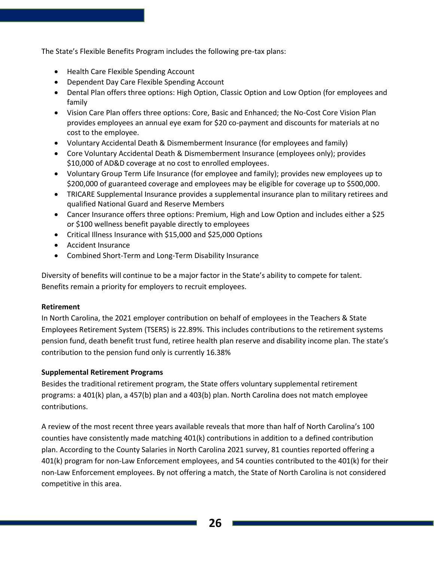The State's Flexible Benefits Program includes the following pre-tax plans:

- Health Care Flexible Spending Account
- Dependent Day Care Flexible Spending Account
- Dental Plan offers three options: High Option, Classic Option and Low Option (for employees and family
- Vision Care Plan offers three options: Core, Basic and Enhanced; the No-Cost Core Vision Plan provides employees an annual eye exam for \$20 co-payment and discounts for materials at no cost to the employee.
- Voluntary Accidental Death & Dismemberment Insurance (for employees and family)
- Core Voluntary Accidental Death & Dismemberment Insurance (employees only); provides \$10,000 of AD&D coverage at no cost to enrolled employees.
- Voluntary Group Term Life Insurance (for employee and family); provides new employees up to \$200,000 of guaranteed coverage and employees may be eligible for coverage up to \$500,000.
- TRICARE Supplemental Insurance provides a supplemental insurance plan to military retirees and qualified National Guard and Reserve Members
- Cancer Insurance offers three options: Premium, High and Low Option and includes either a \$25 or \$100 wellness benefit payable directly to employees
- Critical Illness Insurance with \$15,000 and \$25,000 Options
- Accident Insurance
- Combined Short-Term and Long-Term Disability Insurance

Diversity of benefits will continue to be a major factor in the State's ability to compete for talent. Benefits remain a priority for employers to recruit employees.

#### **Retirement**

In North Carolina, the 2021 employer contribution on behalf of employees in the Teachers & State Employees Retirement System (TSERS) is 22.89%. This includes contributions to the retirement systems pension fund, death benefit trust fund, retiree health plan reserve and disability income plan. The state's contribution to the pension fund only is currently 16.38%

#### **Supplemental Retirement Programs**

Besides the traditional retirement program, the State offers voluntary supplemental retirement programs: a 401(k) plan, a 457(b) plan and a 403(b) plan. North Carolina does not match employee contributions.

A review of the most recent three years available reveals that more than half of North Carolina's 100 counties have consistently made matching 401(k) contributions in addition to a defined contribution plan. According to the County Salaries in North Carolina 2021 survey, 81 counties reported offering a 401(k) program for non-Law Enforcement employees, and 54 counties contributed to the 401(k) for their non-Law Enforcement employees. By not offering a match, the State of North Carolina is not considered competitive in this area.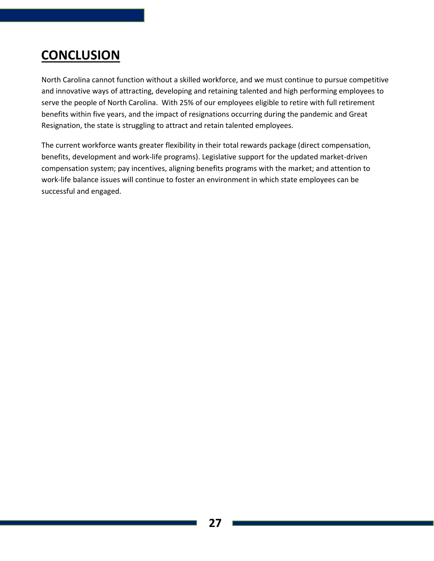## **CONCLUSION**

North Carolina cannot function without a skilled workforce, and we must continue to pursue competitive and innovative ways of attracting, developing and retaining talented and high performing employees to serve the people of North Carolina. With 25% of our employees eligible to retire with full retirement benefits within five years, and the impact of resignations occurring during the pandemic and Great Resignation, the state is struggling to attract and retain talented employees.

The current workforce wants greater flexibility in their total rewards package (direct compensation, benefits, development and work-life programs). Legislative support for the updated market-driven compensation system; pay incentives, aligning benefits programs with the market; and attention to work-life balance issues will continue to foster an environment in which state employees can be successful and engaged.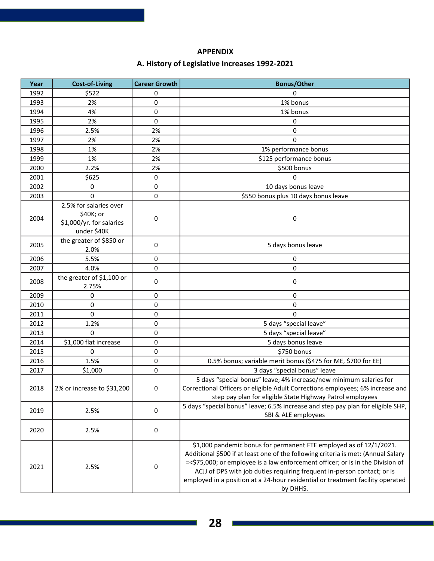#### **APPENDIX**

#### **A. History of Legislative Increases 1992-2021**

| Year | <b>Cost-of-Living</b>                                                          | <b>Career Growth</b> | <b>Bonus/Other</b>                                                                                                                                                                                                                                                                                                                                                                                                 |  |  |
|------|--------------------------------------------------------------------------------|----------------------|--------------------------------------------------------------------------------------------------------------------------------------------------------------------------------------------------------------------------------------------------------------------------------------------------------------------------------------------------------------------------------------------------------------------|--|--|
| 1992 | \$522                                                                          | 0                    | 0                                                                                                                                                                                                                                                                                                                                                                                                                  |  |  |
| 1993 | 2%                                                                             | 0                    | 1% bonus                                                                                                                                                                                                                                                                                                                                                                                                           |  |  |
| 1994 | 4%                                                                             | 0                    | 1% bonus                                                                                                                                                                                                                                                                                                                                                                                                           |  |  |
| 1995 | 2%                                                                             | 0                    | 0                                                                                                                                                                                                                                                                                                                                                                                                                  |  |  |
| 1996 | 2.5%                                                                           | 2%                   | 0                                                                                                                                                                                                                                                                                                                                                                                                                  |  |  |
| 1997 | 2%                                                                             | 2%                   | $\Omega$                                                                                                                                                                                                                                                                                                                                                                                                           |  |  |
| 1998 | 1%                                                                             | 2%                   | 1% performance bonus                                                                                                                                                                                                                                                                                                                                                                                               |  |  |
| 1999 | 1%                                                                             | 2%                   | \$125 performance bonus                                                                                                                                                                                                                                                                                                                                                                                            |  |  |
| 2000 | 2.2%                                                                           | 2%                   | \$500 bonus                                                                                                                                                                                                                                                                                                                                                                                                        |  |  |
| 2001 | \$625                                                                          | 0                    | $\Omega$                                                                                                                                                                                                                                                                                                                                                                                                           |  |  |
| 2002 | 0                                                                              | 0                    | 10 days bonus leave                                                                                                                                                                                                                                                                                                                                                                                                |  |  |
| 2003 | $\Omega$                                                                       | 0                    | \$550 bonus plus 10 days bonus leave                                                                                                                                                                                                                                                                                                                                                                               |  |  |
| 2004 | 2.5% for salaries over<br>\$40K; or<br>\$1,000/yr. for salaries<br>under \$40K | 0                    | 0                                                                                                                                                                                                                                                                                                                                                                                                                  |  |  |
| 2005 | the greater of \$850 or<br>2.0%                                                | 0                    | 5 days bonus leave                                                                                                                                                                                                                                                                                                                                                                                                 |  |  |
| 2006 | 5.5%                                                                           | 0                    | 0                                                                                                                                                                                                                                                                                                                                                                                                                  |  |  |
| 2007 | 4.0%                                                                           | 0                    | 0                                                                                                                                                                                                                                                                                                                                                                                                                  |  |  |
| 2008 | the greater of \$1,100 or<br>2.75%                                             | 0                    | 0                                                                                                                                                                                                                                                                                                                                                                                                                  |  |  |
| 2009 | 0                                                                              | 0                    | 0                                                                                                                                                                                                                                                                                                                                                                                                                  |  |  |
| 2010 | 0                                                                              | 0                    | 0                                                                                                                                                                                                                                                                                                                                                                                                                  |  |  |
| 2011 | $\Omega$                                                                       | 0                    | $\Omega$                                                                                                                                                                                                                                                                                                                                                                                                           |  |  |
| 2012 | 1.2%                                                                           | 0                    | 5 days "special leave"                                                                                                                                                                                                                                                                                                                                                                                             |  |  |
| 2013 | 0                                                                              | 0                    | 5 days "special leave"                                                                                                                                                                                                                                                                                                                                                                                             |  |  |
| 2014 | \$1,000 flat increase                                                          | 0                    | 5 days bonus leave                                                                                                                                                                                                                                                                                                                                                                                                 |  |  |
| 2015 | 0                                                                              | 0                    | \$750 bonus                                                                                                                                                                                                                                                                                                                                                                                                        |  |  |
| 2016 | 1.5%                                                                           | 0                    | 0.5% bonus; variable merit bonus (\$475 for ME, \$700 for EE)                                                                                                                                                                                                                                                                                                                                                      |  |  |
| 2017 | \$1,000                                                                        | 0                    | 3 days "special bonus" leave                                                                                                                                                                                                                                                                                                                                                                                       |  |  |
| 2018 | 2% or increase to \$31,200                                                     | 0                    | 5 days "special bonus" leave; 4% increase/new minimum salaries for<br>Correctional Officers or eligible Adult Corrections employees; 6% increase and<br>step pay plan for eligible State Highway Patrol employees                                                                                                                                                                                                  |  |  |
| 2019 | 2.5%                                                                           | 0                    | 5 days "special bonus" leave; 6.5% increase and step pay plan for eligible SHP,<br>SBI & ALE employees                                                                                                                                                                                                                                                                                                             |  |  |
| 2020 | 2.5%                                                                           | 0                    |                                                                                                                                                                                                                                                                                                                                                                                                                    |  |  |
| 2021 | 2.5%                                                                           | 0                    | \$1,000 pandemic bonus for permanent FTE employed as of 12/1/2021.<br>Additional \$500 if at least one of the following criteria is met: (Annual Salary<br>=<\$75,000; or employee is a law enforcement officer; or is in the Division of<br>ACJJ of DPS with job duties requiring frequent in-person contact; or is<br>employed in a position at a 24-hour residential or treatment facility operated<br>by DHHS. |  |  |

∃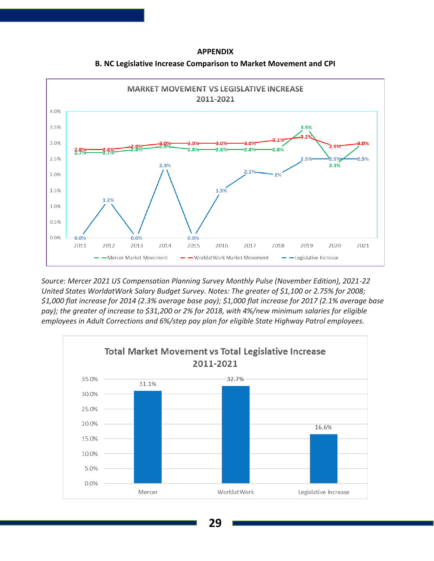#### **APPENDIX**



**B. NC Legislative Increase Comparison to Market Movement and CPI**

*Source: Mercer 2021 US Compensation Planning Survey Monthly Pulse (November Edition), 2021-22 United States WorldatWork Salary Budget Survey. Notes: The greater of \$1,100 or 2.75% for 2008; \$1,000 flat increase for 2014 (2.3% average base pay); \$1,000 flat increase for 2017 (2.1% average base pay); the greater of increase to \$31,200 or 2% for 2018, with 4%/new minimum salaries for eligible employees in Adult Corrections and 6%/step pay plan for eligible State Highway Patrol employees.*

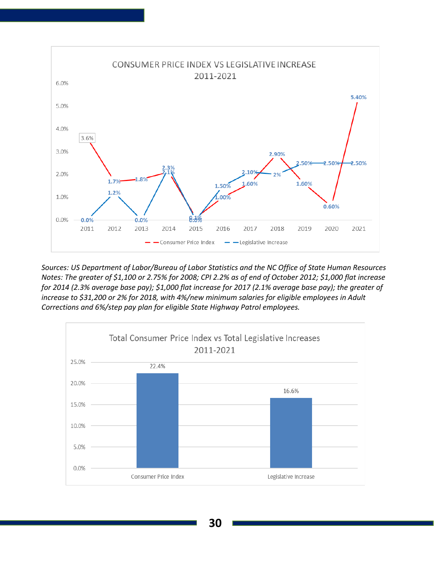

*Sources: US Department of Labor/Bureau of Labor Statistics and the NC Office of State Human Resources Notes: The greater of \$1,100 or 2.75% for 2008; CPI 2.2% as of end of October 2012; \$1,000 flat increase for 2014 (2.3% average base pay); \$1,000 flat increase for 2017 (2.1% average base pay); the greater of increase to \$31,200 or 2% for 2018, with 4%/new minimum salaries for eligible employees in Adult Corrections and 6%/step pay plan for eligible State Highway Patrol employees.*

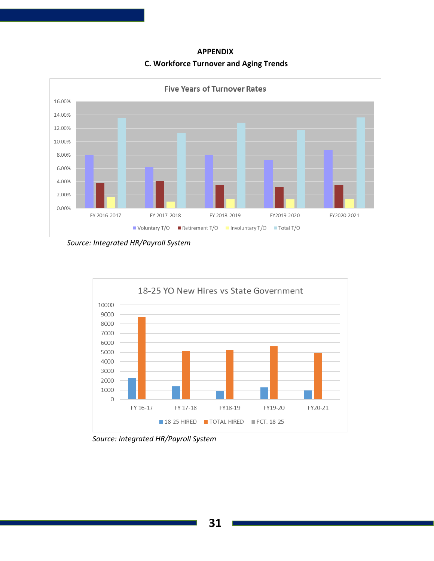#### **APPENDIX C. Workforce Turnover and Aging Trends**



*Source: Integrated HR/Payroll System*



*Source: Integrated HR/Payroll System*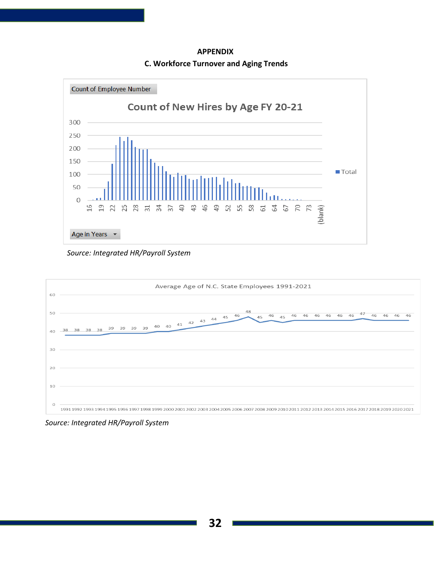**APPENDIX C. Workforce Turnover and Aging Trends**



*Source: Integrated HR/Payroll System*



 *Source: Integrated HR/Payroll System*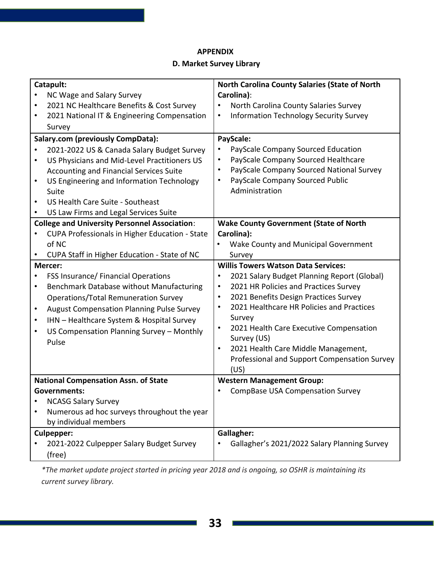#### **APPENDIX**

#### **D. Market Survey Library**

| Catapult: |                                                      | <b>North Carolina County Salaries (State of North</b>      |  |  |  |
|-----------|------------------------------------------------------|------------------------------------------------------------|--|--|--|
|           | NC Wage and Salary Survey                            | Carolina):                                                 |  |  |  |
| $\bullet$ | 2021 NC Healthcare Benefits & Cost Survey            | North Carolina County Salaries Survey                      |  |  |  |
| ٠         | 2021 National IT & Engineering Compensation          | <b>Information Technology Security Survey</b><br>$\bullet$ |  |  |  |
|           | Survey                                               |                                                            |  |  |  |
|           | <b>Salary.com (previously CompData):</b>             | PayScale:                                                  |  |  |  |
|           | 2021-2022 US & Canada Salary Budget Survey           | PayScale Company Sourced Education                         |  |  |  |
| $\bullet$ | US Physicians and Mid-Level Practitioners US         | PayScale Company Sourced Healthcare<br>$\bullet$           |  |  |  |
|           | Accounting and Financial Services Suite              | PayScale Company Sourced National Survey<br>$\bullet$      |  |  |  |
| ٠         | US Engineering and Information Technology            | PayScale Company Sourced Public<br>$\bullet$               |  |  |  |
|           | Suite                                                | Administration                                             |  |  |  |
| $\bullet$ | US Health Care Suite - Southeast                     |                                                            |  |  |  |
| $\bullet$ | US Law Firms and Legal Services Suite                |                                                            |  |  |  |
|           | <b>College and University Personnel Association:</b> | <b>Wake County Government (State of North</b>              |  |  |  |
|           | CUPA Professionals in Higher Education - State       | Carolina):                                                 |  |  |  |
|           | of NC                                                | Wake County and Municipal Government                       |  |  |  |
|           | CUPA Staff in Higher Education - State of NC         | Survey                                                     |  |  |  |
|           | Mercer:                                              | <b>Willis Towers Watson Data Services:</b>                 |  |  |  |
|           | FSS Insurance/ Financial Operations                  | 2021 Salary Budget Planning Report (Global)<br>$\bullet$   |  |  |  |
| $\bullet$ | Benchmark Database without Manufacturing             | 2021 HR Policies and Practices Survey<br>$\bullet$         |  |  |  |
|           | <b>Operations/Total Remuneration Survey</b>          | 2021 Benefits Design Practices Survey<br>$\bullet$         |  |  |  |
| $\bullet$ | <b>August Compensation Planning Pulse Survey</b>     | 2021 Healthcare HR Policies and Practices<br>$\bullet$     |  |  |  |
| $\bullet$ | IHN - Healthcare System & Hospital Survey            | Survey                                                     |  |  |  |
| ٠         | US Compensation Planning Survey - Monthly            | 2021 Health Care Executive Compensation<br>$\bullet$       |  |  |  |
|           | Pulse                                                | Survey (US)                                                |  |  |  |
|           |                                                      | 2021 Health Care Middle Management,<br>$\bullet$           |  |  |  |
|           |                                                      | Professional and Support Compensation Survey               |  |  |  |
|           |                                                      | (US)                                                       |  |  |  |
|           | <b>National Compensation Assn. of State</b>          | <b>Western Management Group:</b>                           |  |  |  |
|           | Governments:                                         | <b>CompBase USA Compensation Survey</b>                    |  |  |  |
|           | <b>NCASG Salary Survey</b>                           |                                                            |  |  |  |
|           | Numerous ad hoc surveys throughout the year          |                                                            |  |  |  |
|           | by individual members                                |                                                            |  |  |  |
|           | <b>Culpepper:</b>                                    | <b>Gallagher:</b>                                          |  |  |  |
|           | 2021-2022 Culpepper Salary Budget Survey             | Gallagher's 2021/2022 Salary Planning Survey               |  |  |  |
|           | (free)                                               |                                                            |  |  |  |

*\*The market update project started in pricing year 2018 and is ongoing, so OSHR is maintaining its current survey library.*

 $\Box$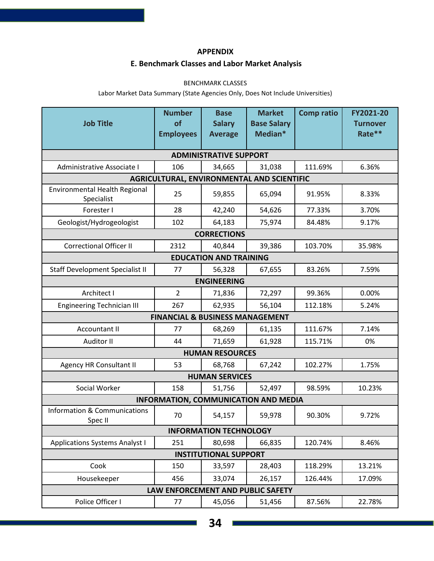#### **APPENDIX**

#### **E. Benchmark Classes and Labor Market Analysis**

#### BENCHMARK CLASSES

Labor Market Data Summary (State Agencies Only, Does Not Include Universities)

| <b>Job Title</b>                                   | <b>Number</b><br>of                        | <b>Base</b><br><b>Salary</b>  | <b>Market</b><br><b>Base Salary</b>        | <b>Comp ratio</b> | FY2021-20<br><b>Turnover</b> |  |
|----------------------------------------------------|--------------------------------------------|-------------------------------|--------------------------------------------|-------------------|------------------------------|--|
|                                                    | <b>Employees</b>                           | <b>Average</b>                | Median*                                    |                   | Rate**                       |  |
|                                                    |                                            | <b>ADMINISTRATIVE SUPPORT</b> |                                            |                   |                              |  |
| Administrative Associate I                         | 106                                        | 34,665                        | 31,038                                     | 111.69%           | 6.36%                        |  |
|                                                    |                                            |                               | AGRICULTURAL, ENVIRONMENTAL AND SCIENTIFIC |                   |                              |  |
| <b>Environmental Health Regional</b><br>Specialist | 25                                         | 59,855                        | 65,094                                     | 91.95%            | 8.33%                        |  |
| Forester I                                         | 28                                         | 42,240                        | 54,626                                     | 77.33%            | 3.70%                        |  |
| Geologist/Hydrogeologist                           | 102                                        | 64,183                        | 75,974                                     | 84.48%            | 9.17%                        |  |
|                                                    |                                            | <b>CORRECTIONS</b>            |                                            |                   |                              |  |
| <b>Correctional Officer II</b>                     | 2312                                       | 40,844                        | 39,386                                     | 103.70%           | 35.98%                       |  |
| <b>EDUCATION AND TRAINING</b>                      |                                            |                               |                                            |                   |                              |  |
| <b>Staff Development Specialist II</b>             | 77                                         | 56,328                        | 67,655                                     | 83.26%            | 7.59%                        |  |
|                                                    |                                            | <b>ENGINEERING</b>            |                                            |                   |                              |  |
| Architect I                                        | $\overline{2}$                             | 71,836                        | 72,297                                     | 99.36%            | 0.00%                        |  |
| <b>Engineering Technician III</b>                  | 267                                        | 62,935                        | 56,104                                     | 112.18%           | 5.24%                        |  |
|                                                    | <b>FINANCIAL &amp; BUSINESS MANAGEMENT</b> |                               |                                            |                   |                              |  |
| Accountant II                                      | 77                                         | 68,269                        | 61,135                                     | 111.67%           | 7.14%                        |  |
| Auditor II                                         | 44                                         | 71,659                        | 61,928                                     | 115.71%           | 0%                           |  |
|                                                    |                                            | <b>HUMAN RESOURCES</b>        |                                            |                   |                              |  |
| <b>Agency HR Consultant II</b>                     | 53                                         | 68,768                        | 67,242                                     | 102.27%           | 1.75%                        |  |
| <b>HUMAN SERVICES</b>                              |                                            |                               |                                            |                   |                              |  |
| Social Worker                                      | 158                                        | 51,756                        | 52,497                                     | 98.59%            | 10.23%                       |  |
| <b>INFORMATION, COMMUNICATION AND MEDIA</b>        |                                            |                               |                                            |                   |                              |  |
| <b>Information &amp; Communications</b><br>Spec II | 70                                         | 54,157                        | 59,978                                     | 90.30%            | 9.72%                        |  |
| <b>INFORMATION TECHNOLOGY</b>                      |                                            |                               |                                            |                   |                              |  |
| <b>Applications Systems Analyst I</b>              | 251                                        | 80,698                        | 66,835                                     | 120.74%           | 8.46%                        |  |
| <b>INSTITUTIONAL SUPPORT</b>                       |                                            |                               |                                            |                   |                              |  |
| Cook                                               | 150                                        | 33,597                        | 28,403                                     | 118.29%           | 13.21%                       |  |
| Housekeeper                                        | 456                                        | 33,074                        | 26,157                                     | 126.44%           | 17.09%                       |  |
| LAW ENFORCEMENT AND PUBLIC SAFETY                  |                                            |                               |                                            |                   |                              |  |
| Police Officer I                                   | 77                                         | 45,056                        | 51,456                                     | 87.56%            | 22.78%                       |  |

⊒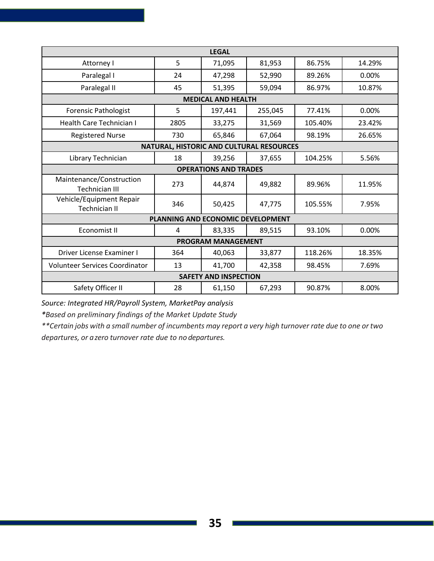| <b>LEGAL</b>                                      |                              |                           |                                          |         |        |  |
|---------------------------------------------------|------------------------------|---------------------------|------------------------------------------|---------|--------|--|
| Attorney I                                        | 5                            | 71,095                    | 81,953                                   | 86.75%  | 14.29% |  |
| Paralegal I                                       | 24                           | 47,298                    | 52,990                                   | 89.26%  | 0.00%  |  |
| Paralegal II                                      | 45                           | 51,395                    | 59,094                                   | 86.97%  | 10.87% |  |
|                                                   |                              | <b>MEDICAL AND HEALTH</b> |                                          |         |        |  |
| Forensic Pathologist                              | 5                            | 197,441                   | 255,045                                  | 77.41%  | 0.00%  |  |
| Health Care Technician I                          | 2805                         | 33,275                    | 31,569                                   | 105.40% | 23.42% |  |
| <b>Registered Nurse</b>                           | 730                          | 65,846                    | 67,064                                   | 98.19%  | 26.65% |  |
|                                                   |                              |                           | NATURAL, HISTORIC AND CULTURAL RESOURCES |         |        |  |
| Library Technician                                | 18                           | 39,256                    | 37,655                                   | 104.25% | 5.56%  |  |
|                                                   | <b>OPERATIONS AND TRADES</b> |                           |                                          |         |        |  |
| Maintenance/Construction<br><b>Technician III</b> | 273                          | 44,874                    | 49,882                                   | 89.96%  | 11.95% |  |
| Vehicle/Equipment Repair<br><b>Technician II</b>  | 346                          | 50,425                    | 47,775                                   | 105.55% | 7.95%  |  |
| PLANNING AND ECONOMIC DEVELOPMENT                 |                              |                           |                                          |         |        |  |
| Economist II                                      | 4                            | 83,335                    | 89,515                                   | 93.10%  | 0.00%  |  |
| <b>PROGRAM MANAGEMENT</b>                         |                              |                           |                                          |         |        |  |
| Driver License Examiner I                         | 364                          | 40,063                    | 33,877                                   | 118.26% | 18.35% |  |
| <b>Volunteer Services Coordinator</b>             | 13                           | 41,700                    | 42,358                                   | 98.45%  | 7.69%  |  |
| <b>SAFETY AND INSPECTION</b>                      |                              |                           |                                          |         |        |  |
| Safety Officer II                                 | 28                           | 61,150                    | 67,293                                   | 90.87%  | 8.00%  |  |

*Source: Integrated HR/Payroll System, MarketPay analysis*

*\*Based on preliminary findings of the Market Update Study*

\*\*Certain jobs with a small number of incumbents may report a very high turnover rate due to one or two *departures, or a zero turnover rate due to no departures.*